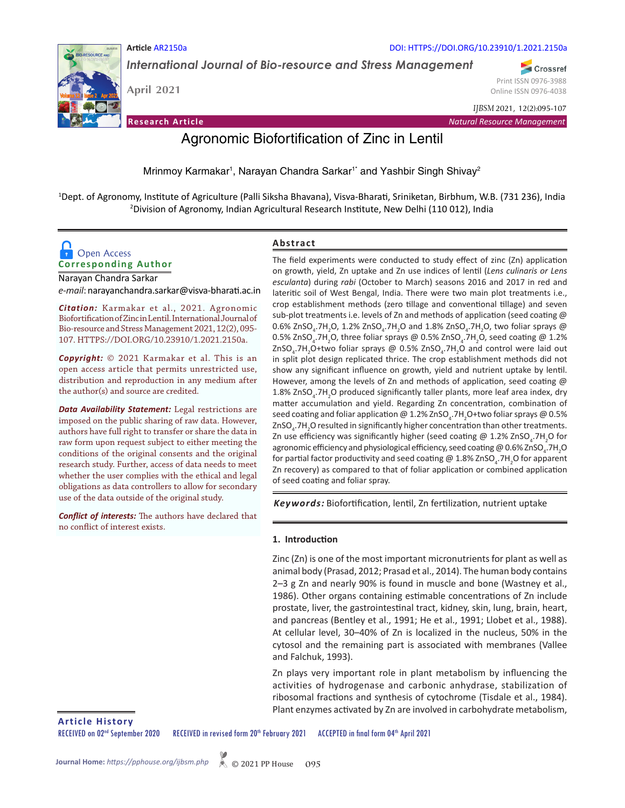

**Article** AR2150a

*International Journal of Bio-resource and Stress Management*

**April 2021** 

Crossref Print ISSN 0976-3988 Online ISSN 0976-4038

**Research Article** *Natural Resource Management*

*IJBSM* 2021, 12(2):095-107

DOI: HTTPS://DOI.ORG/10.23910/1.2021.2150a

# Agronomic Biofortification of Zinc in Lentil

Mrinmoy Karmakar<sup>1</sup>, Narayan Chandra Sarkar<sup>1\*</sup> and Yashbir Singh Shivay<sup>2</sup>

1 Dept. of Agronomy, Institute of Agriculture (Palli Siksha Bhavana), Visva-Bharati, Sriniketan, Birbhum, W.B. (731 236), India 2 Division of Agronomy, Indian Agricultural Research Institute, New Delhi (110 012), India

**Abstract**

# **Corresponding Author Open Access**

Narayan Chandra Sarkar *e-mail*: narayanchandra.sarkar@visva-bharati.ac.in

*Citation:* Karmakar et al., 2021. Agronomic Biofortification of Zinc in Lentil. International Journal of Bio-resource and Stress Management 2021, 12(2), 095- 107. HTTPS://DOI.ORG/10.23910/1.2021.2150a.

*Copyright:* © 2021 Karmakar et al. This is an open access article that permits unrestricted use, distribution and reproduction in any medium after the author(s) and source are credited.

*Data Availability Statement:* Legal restrictions are imposed on the public sharing of raw data. However, authors have full right to transfer or share the data in raw form upon request subject to either meeting the conditions of the original consents and the original research study. Further, access of data needs to meet whether the user complies with the ethical and legal obligations as data controllers to allow for secondary use of the data outside of the original study.

*Conflict of interests:* The authors have declared that no conflict of interest exists.

The field experiments were conducted to study effect of zinc (Zn) application on growth, yield, Zn uptake and Zn use indices of lentil (*Lens culinaris or Lens esculanta*) during *rabi* (October to March) seasons 2016 and 2017 in red and lateritic soil of West Bengal, India. There were two main plot treatments i.e., crop establishment methods (zero tillage and conventional tillage) and seven sub-plot treatments i.e. levels of Zn and methods of application (seed coating @  $0.6\%$  ZnSO<sub>4</sub>.7H<sub>2</sub>O, 1.2% ZnSO<sub>4</sub>.7H<sub>2</sub>O and 1.8% ZnSO<sub>4</sub>.7H<sub>2</sub>O, two foliar sprays @ 0.5% ZnSO<sub>4</sub>.7H<sub>2</sub>O, three foliar sprays @ 0.5% ZnSO<sub>4</sub>.7H<sub>2</sub>O, seed coating @ 1.2%  $\text{ZnSO}_4$ .7H<sub>2</sub>O+two foliar sprays @ 0.5% ZnSO<sub>4</sub>.7H<sub>2</sub>O and control were laid out in split plot design replicated thrice. The crop establishment methods did not show any significant influence on growth, yield and nutrient uptake by lentil. However, among the levels of Zn and methods of application, seed coating @ 1.8% ZnSO<sub>4</sub>.7H<sub>2</sub>O produced significantly taller plants, more leaf area index, dry matter accumulation and yield. Regarding Zn concentration, combination of seed coating and foliar application @ 1.2% ZnSO<sub>4</sub>.7H<sub>2</sub>O+two foliar sprays @ 0.5% ZnSO<sub>4</sub>.7H<sub>2</sub>O resulted in significantly higher concentration than other treatments. Zn use efficiency was significantly higher (seed coating @ 1.2% ZnSO<sub>4</sub>.7H<sub>2</sub>O for agronomic efficiency and physiological efficiency, seed coating @ 0.6% ZnSO<sub>4</sub>.7H<sub>2</sub>O for partial factor productivity and seed coating @ 1.8% ZnSO<sub>4</sub>.7H<sub>2</sub>O for apparent Zn recovery) as compared to that of foliar application or combined application of seed coating and foliar spray.

*Keywords:* Biofortification, lentil, Zn fertilization, nutrient uptake

# **1. Introduction**

Zinc (Zn) is one of the most important micronutrients for plant as well as animal body (Prasad, 2012; Prasad et al., 2014). The human body contains 2–3 g Zn and nearly 90% is found in muscle and bone (Wastney et al., 1986). Other organs containing estimable concentrations of Zn include prostate, liver, the gastrointestinal tract, kidney, skin, lung, brain, heart, and pancreas (Bentley et al., 1991; He et al., 1991; Llobet et al., 1988). At cellular level, 30–40% of Zn is localized in the nucleus, 50% in the cytosol and the remaining part is associated with membranes (Vallee and Falchuk, 1993).

Zn plays very important role in plant metabolism by influencing the activities of hydrogenase and carbonic anhydrase, stabilization of ribosomal fractions and synthesis of cytochrome (Tisdale et al., 1984). Plant enzymes activated by Zn are involved in carbohydrate metabolism,

**Article History**

RECEIVED on 02<sup>nd</sup> September 2020 RECEIVED in revised form 20<sup>th</sup> February 2021 ACCEPTED in final form 04<sup>th</sup> April 2021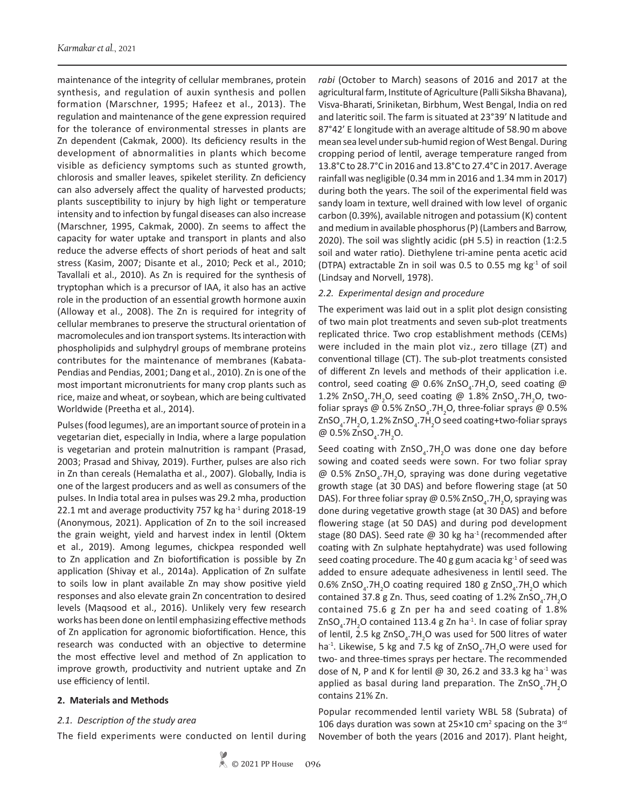maintenance of the integrity of cellular membranes, protein synthesis, and regulation of auxin synthesis and pollen formation (Marschner, 1995; Hafeez et al., 2013). The regulation and maintenance of the gene expression required for the tolerance of environmental stresses in plants are Zn dependent (Cakmak, 2000). Its deficiency results in the development of abnormalities in plants which become visible as deficiency symptoms such as stunted growth, chlorosis and smaller leaves, spikelet sterility. Zn deficiency can also adversely affect the quality of harvested products; plants susceptibility to injury by high light or temperature intensity and to infection by fungal diseases can also increase (Marschner, 1995, Cakmak, 2000). Zn seems to affect the capacity for water uptake and transport in plants and also reduce the adverse effects of short periods of heat and salt stress (Kasim, 2007; Disante et al., 2010; Peck et al., 2010; Tavallali et al., 2010). As Zn is required for the synthesis of tryptophan which is a precursor of IAA, it also has an active role in the production of an essential growth hormone auxin (Alloway et al., 2008). The Zn is required for integrity of cellular membranes to preserve the structural orientation of macromolecules and ion transport systems. Its interaction with phospholipids and sulphydryl groups of membrane proteins contributes for the maintenance of membranes (Kabata-Pendias and Pendias, 2001; Dang et al., 2010). Zn is one of the most important micronutrients for many crop plants such as rice, maize and wheat, or soybean, which are being cultivated Worldwide (Preetha et al., 2014).

Pulses (food legumes), are an important source of protein in a vegetarian diet, especially in India, where a large population is vegetarian and protein malnutrition is rampant (Prasad, 2003; Prasad and Shivay, 2019). Further, pulses are also rich in Zn than cereals (Hemalatha et al., 2007). Globally, India is one of the largest producers and as well as consumers of the pulses. In India total area in pulses was 29.2 mha, production 22.1 mt and average productivity 757 kg ha $^{-1}$  during 2018-19 (Anonymous, 2021). Application of Zn to the soil increased the grain weight, yield and harvest index in lentil (Oktem et al., 2019). Among legumes, chickpea responded well to Zn application and Zn biofortification is possible by Zn application (Shivay et al., 2014a). Application of Zn sulfate to soils low in plant available Zn may show positive yield responses and also elevate grain Zn concentration to desired levels (Maqsood et al., 2016). Unlikely very few research works has been done on lentil emphasizing effective methods of Zn application for agronomic biofortification. Hence, this research was conducted with an objective to determine the most effective level and method of Zn application to improve growth, productivity and nutrient uptake and Zn use efficiency of lentil.

## **2. Materials and Methods**

#### *2.1. Description of the study area*

The field experiments were conducted on lentil during

*rabi* (October to March) seasons of 2016 and 2017 at the agricultural farm, Institute of Agriculture (Palli Siksha Bhavana), Visva-Bharati, Sriniketan, Birbhum, West Bengal, India on red and lateritic soil. The farm is situated at 23°39' N latitude and 87°42' E longitude with an average altitude of 58.90 m above mean sea level under sub-humid region of West Bengal. During cropping period of lentil, average temperature ranged from 13.8°C to 28.7°C in 2016 and 13.8°C to 27.4°C in 2017. Average rainfall was negligible (0.34 mm in 2016 and 1.34 mm in 2017) during both the years. The soil of the experimental field was sandy loam in texture, well drained with low level of organic carbon (0.39%), available nitrogen and potassium (K) content and medium in available phosphorus (P) (Lambers and Barrow, 2020). The soil was slightly acidic (pH 5.5) in reaction (1:2.5 soil and water ratio). Diethylene tri-amine penta acetic acid (DTPA) extractable Zn in soil was 0.5 to 0.55 mg  $kg<sup>-1</sup>$  of soil (Lindsay and Norvell, 1978).

#### *2.2. Experimental design and procedure*

The experiment was laid out in a split plot design consisting of two main plot treatments and seven sub-plot treatments replicated thrice. Two crop establishment methods (CEMs) were included in the main plot viz., zero tillage (ZT) and conventional tillage (CT). The sub-plot treatments consisted of different Zn levels and methods of their application i.e. control, seed coating @ 0.6% ZnSO<sub>4</sub>.7H<sub>2</sub>O, seed coating @ 1.2% ZnSO<sub>4</sub>.7H<sub>2</sub>O, seed coating @ 1.8% ZnSO<sub>4</sub>.7H<sub>2</sub>O, twofoliar sprays @ 0.5% ZnSO<sub>4</sub>.7H<sub>2</sub>O, three-foliar sprays @ 0.5% ZnSO<sub>4</sub>.7H<sub>2</sub>O, 1.2% ZnSO<sub>4</sub>.7H<sub>2</sub>O seed coating+two-foliar sprays @ 0.5%  $ZnSO_4$ .7H<sub>2</sub>O.

Seed coating with  $ZnSO_4$ .7H<sub>2</sub>O was done one day before sowing and coated seeds were sown. For two foliar spray  $@$  0.5% ZnSO<sub>4</sub>.7H<sub>2</sub>O, spraying was done during vegetative growth stage (at 30 DAS) and before flowering stage (at 50 DAS). For three foliar spray @ 0.5% ZnSO<sub>4</sub>.7H<sub>2</sub>O, spraying was done during vegetative growth stage (at 30 DAS) and before flowering stage (at 50 DAS) and during pod development stage (80 DAS). Seed rate  $\omega$  30 kg ha<sup>-1</sup> (recommended after coating with Zn sulphate heptahydrate) was used following seed coating procedure. The 40 g gum acacia  $kg<sup>-1</sup>$  of seed was added to ensure adequate adhesiveness in lentil seed. The  $0.6\%$  ZnSO<sub>4</sub>.7H<sub>2</sub>O coating required 180 g ZnSO<sub>4</sub>.7H<sub>2</sub>O which contained 37.8 g Zn. Thus, seed coating of 1.2% ZnSO<sub>4</sub>.7H<sub>2</sub>O contained 75.6 g Zn per ha and seed coating of 1.8%  $ZnSO<sub>4</sub>$ .7H<sub>2</sub>O contained 113.4 g Zn ha<sup>-1</sup>. In case of foliar spray of lentil, 2.5 kg ZnSO<sub>4</sub>.7H<sub>2</sub>O was used for 500 litres of water ha<sup>-1</sup>. Likewise, 5 kg and 7.5 kg of ZnSO<sub>4</sub>.7H<sub>2</sub>O were used for two- and three-times sprays per hectare. The recommended dose of N, P and K for lentil  $\omega$  30, 26.2 and 33.3 kg ha<sup>-1</sup> was applied as basal during land preparation. The  $ZnSO_{4}$ .7H<sub>2</sub>O contains 21% Zn.

Popular recommended lentil variety WBL 58 (Subrata) of 106 days duration was sown at  $25 \times 10$  cm<sup>2</sup> spacing on the 3<sup>rd</sup> November of both the years (2016 and 2017). Plant height,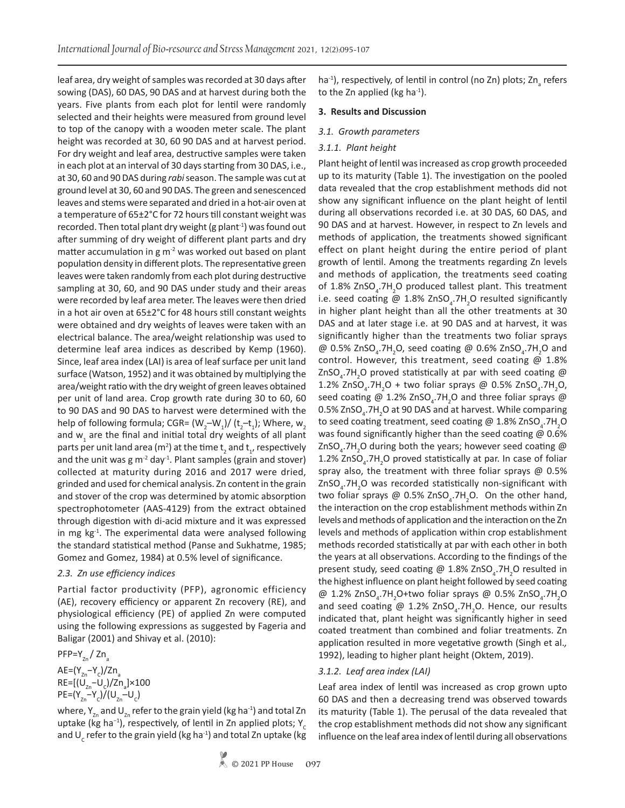leaf area, dry weight of samples was recorded at 30 days after sowing (DAS), 60 DAS, 90 DAS and at harvest during both the years. Five plants from each plot for lentil were randomly selected and their heights were measured from ground level to top of the canopy with a wooden meter scale. The plant height was recorded at 30, 60 90 DAS and at harvest period. For dry weight and leaf area, destructive samples were taken in each plot at an interval of 30 days starting from 30 DAS, i.e., at 30, 60 and 90 DAS during *rabi* season. The sample was cut at ground level at 30, 60 and 90 DAS. The green and senescenced leaves and stems were separated and dried in a hot-air oven at a temperature of 65±2°C for 72 hours till constant weight was recorded. Then total plant dry weight (g plant $^{-1}$ ) was found out after summing of dry weight of different plant parts and dry matter accumulation in g  $m<sup>2</sup>$  was worked out based on plant population density in different plots. The representative green leaves were taken randomly from each plot during destructive sampling at 30, 60, and 90 DAS under study and their areas were recorded by leaf area meter. The leaves were then dried in a hot air oven at 65±2°C for 48 hours still constant weights were obtained and dry weights of leaves were taken with an electrical balance. The area/weight relationship was used to determine leaf area indices as described by Kemp (1960). Since, leaf area index (LAI) is area of leaf surface per unit land surface (Watson, 1952) and it was obtained by multiplying the area/weight ratio with the dry weight of green leaves obtained per unit of land area. Crop growth rate during 30 to 60, 60 to 90 DAS and 90 DAS to harvest were determined with the help of following formula; CGR=  $(W_2-W_1)$ / (t<sub>2</sub>-t<sub>1</sub>); Where, w<sub>2</sub> and  $w_1$  are the final and initial total dry weights of all plant parts per unit land area (m<sup>2</sup>) at the time  $\mathsf{t}_{_2}$  and  $\mathsf{t}_{_{1^\prime}}$  respectively and the unit was  $g m<sup>-2</sup>$  day<sup>-1</sup>. Plant samples (grain and stover) collected at maturity during 2016 and 2017 were dried, grinded and used for chemical analysis. Zn content in the grain and stover of the crop was determined by atomic absorption spectrophotometer (AAS-4129) from the extract obtained through digestion with di-acid mixture and it was expressed in mg  $kg<sup>-1</sup>$ . The experimental data were analysed following the standard statistical method (Panse and Sukhatme, 1985; Gomez and Gomez, 1984) at 0.5% level of significance.

## *2.3. Zn use efficiency indices*

Partial factor productivity (PFP), agronomic efficiency (AE), recovery efficiency or apparent Zn recovery (RE), and physiological efficiency (PE) of applied Zn were computed using the following expressions as suggested by Fageria and Baligar (2001) and Shivay et al. (2010):

$$
PP = Y_{zn} / Zn_a
$$

AE=(Y<sub>zn</sub>−Y<sub>c</sub>)/Zn<sub>a</sub> RE=[(U<sub>zn</sub>−U<sub>c</sub>)/Zn<sub>a</sub>]×100  $PE=(Y_{_{Zn}}-Y_{c})/(U_{_{Zn}}-U_{c})$ 

where,  $Y_{Zn}$  and  $U_{Zn}$  refer to the grain yield (kg ha<sup>-1</sup>) and total Zn uptake (kg ha<sup>-1</sup>), respectively, of lentil in Zn applied plots; Y<sub>c</sub> and U<sub>c</sub> refer to the grain yield (kg ha<sup>-1</sup>) and total Zn uptake (kg ha<sup>-1</sup>), respectively, of lentil in control (no Zn) plots; Zn<sub>a</sub> refers to the Zn applied (kg ha $^{-1}$ ).

#### **3. Results and Discussion**

#### *3.1. Growth parameters*

#### *3.1.1. Plant height*

Plant height of lentil was increased as crop growth proceeded up to its maturity (Table 1). The investigation on the pooled data revealed that the crop establishment methods did not show any significant influence on the plant height of lentil during all observations recorded i.e. at 30 DAS, 60 DAS, and 90 DAS and at harvest. However, in respect to Zn levels and methods of application, the treatments showed significant effect on plant height during the entire period of plant growth of lentil. Among the treatments regarding Zn levels and methods of application, the treatments seed coating of 1.8% ZnSO<sub>4</sub>.7H<sub>2</sub>O produced tallest plant. This treatment i.e. seed coating @  $1.8\%$  ZnSO<sub>4</sub>.7H<sub>2</sub>O resulted significantly in higher plant height than all the other treatments at 30 DAS and at later stage i.e. at 90 DAS and at harvest, it was significantly higher than the treatments two foliar sprays @  $0.5\%$  ZnSO<sub>4</sub>.7H<sub>2</sub>O, seed coating @  $0.6\%$  ZnSO<sub>4</sub>.7H<sub>2</sub>O and control. However, this treatment, seed coating  $\omega$  1.8% ZnSO<sub>4</sub>.7H<sub>2</sub>O proved statistically at par with seed coating @ 1.2% ZnSO<sub>4</sub>.7H<sub>2</sub>O + two foliar sprays @ 0.5% ZnSO<sub>4</sub>.7H<sub>2</sub>O, seed coating @ 1.2% ZnSO<sub>4</sub>.7H<sub>2</sub>O and three foliar sprays @  $0.5\%$  ZnSO<sub>4</sub>.7H<sub>2</sub>O at 90 DAS and at harvest. While comparing to seed coating treatment, seed coating @ 1.8% ZnSO<sub>4</sub>.7H<sub>2</sub>O was found significantly higher than the seed coating @ 0.6% ZnSO<sub>4</sub>.7H<sub>2</sub>O during both the years; however seed coating @ 1.2% ZnSO<sub>4</sub>.7H<sub>2</sub>O proved statistically at par. In case of foliar spray also, the treatment with three foliar sprays @ 0.5% ZnSO<sub>4</sub>.7H<sub>2</sub>O was recorded statistically non-significant with two foliar sprays @  $0.5\%$  ZnSO<sub>4</sub>.7H<sub>2</sub>O. On the other hand, the interaction on the crop establishment methods within Zn levels and methods of application and the interaction on the Zn levels and methods of application within crop establishment methods recorded statistically at par with each other in both the years at all observations. According to the findings of the present study, seed coating @ 1.8% ZnSO<sub>4</sub>.7H<sub>2</sub>O resulted in the highest influence on plant height followed by seed coating @ 1.2% ZnSO<sub>4</sub>.7H<sub>2</sub>O+two foliar sprays @ 0.5% ZnSO<sub>4</sub>.7H<sub>2</sub>O and seed coating @  $1.2\%$  ZnSO<sub>4</sub>.7H<sub>2</sub>O. Hence, our results indicated that, plant height was significantly higher in seed coated treatment than combined and foliar treatments. Zn application resulted in more vegetative growth (Singh et al.*,*  1992), leading to higher plant height (Oktem, 2019).

## *3.1.2. Leaf area index (LAI)*

Leaf area index of lentil was increased as crop grown upto 60 DAS and then a decreasing trend was observed towards its maturity (Table 1). The perusal of the data revealed that the crop establishment methods did not show any significant influence on the leaf area index of lentil during all observations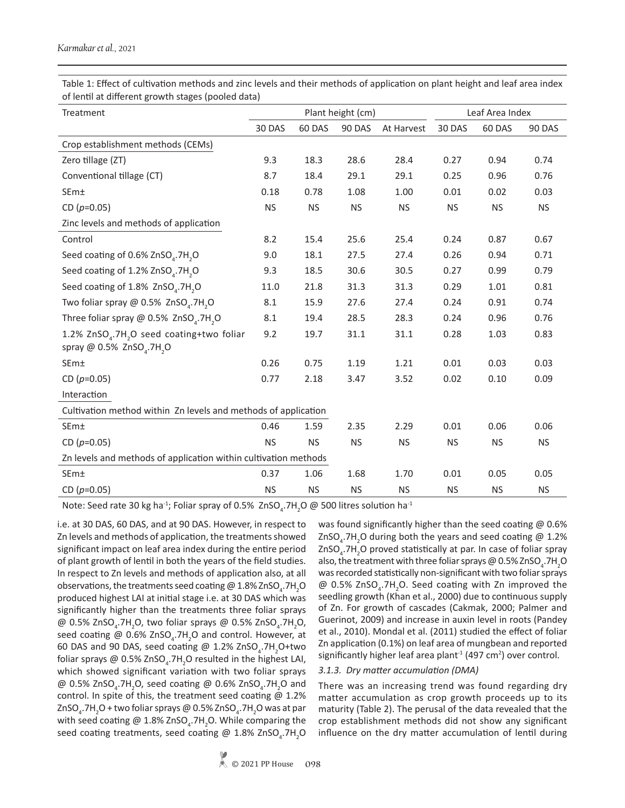Table 1: Effect of cultivation methods and zinc levels and their methods of application on plant height and leaf area index of lentil at different growth stages (pooled data)

| Treatment                                                                                                              |           |           | Plant height (cm) | Leaf Area Index |           |           |           |  |  |
|------------------------------------------------------------------------------------------------------------------------|-----------|-----------|-------------------|-----------------|-----------|-----------|-----------|--|--|
|                                                                                                                        | 30 DAS    | 60 DAS    | 90 DAS            | At Harvest      | 30 DAS    | 60 DAS    | 90 DAS    |  |  |
| Crop establishment methods (CEMs)                                                                                      |           |           |                   |                 |           |           |           |  |  |
| Zero tillage (ZT)                                                                                                      | 9.3       | 18.3      | 28.6              | 28.4            | 0.27      | 0.94      | 0.74      |  |  |
| Conventional tillage (CT)                                                                                              | 8.7       | 18.4      | 29.1              | 29.1            | 0.25      | 0.96      | 0.76      |  |  |
| <b>SEm</b> <sup>±</sup>                                                                                                | 0.18      | 0.78      | 1.08              | 1.00            | 0.01      | 0.02      | 0.03      |  |  |
| CD $(p=0.05)$                                                                                                          | <b>NS</b> | <b>NS</b> | <b>NS</b>         | <b>NS</b>       | <b>NS</b> | <b>NS</b> | <b>NS</b> |  |  |
| Zinc levels and methods of application                                                                                 |           |           |                   |                 |           |           |           |  |  |
| Control                                                                                                                | 8.2       | 15.4      | 25.6              | 25.4            | 0.24      | 0.87      | 0.67      |  |  |
| Seed coating of 0.6% ZnSO <sub>4</sub> .7H <sub>2</sub> O                                                              | 9.0       | 18.1      | 27.5              | 27.4            | 0.26      | 0.94      | 0.71      |  |  |
| Seed coating of 1.2% ZnSO <sub>4</sub> .7H <sub>2</sub> O                                                              | 9.3       | 18.5      | 30.6              | 30.5            | 0.27      | 0.99      | 0.79      |  |  |
| Seed coating of 1.8% ZnSO <sub>4</sub> .7H <sub>2</sub> O                                                              | 11.0      | 21.8      | 31.3              | 31.3            | 0.29      | 1.01      | 0.81      |  |  |
| Two foliar spray @ 0.5% ZnSO <sub>4</sub> .7H <sub>2</sub> O                                                           | 8.1       | 15.9      | 27.6              | 27.4            | 0.24      | 0.91      | 0.74      |  |  |
| Three foliar spray $@$ 0.5% ZnSO <sub>4</sub> .7H <sub>2</sub> O                                                       | 8.1       | 19.4      | 28.5              | 28.3            | 0.24      | 0.96      | 0.76      |  |  |
| 1.2% ZnSO <sub>4</sub> .7H <sub>2</sub> O seed coating+two foliar<br>spray @ 0.5% ZnSO <sub>4</sub> .7H <sub>2</sub> O | 9.2       | 19.7      | 31.1              | 31.1            | 0.28      | 1.03      | 0.83      |  |  |
| SEm±                                                                                                                   | 0.26      | 0.75      | 1.19              | 1.21            | 0.01      | 0.03      | 0.03      |  |  |
| CD $(p=0.05)$                                                                                                          | 0.77      | 2.18      | 3.47              | 3.52            | 0.02      | 0.10      | 0.09      |  |  |
| Interaction                                                                                                            |           |           |                   |                 |           |           |           |  |  |
| Cultivation method within Zn levels and methods of application                                                         |           |           |                   |                 |           |           |           |  |  |
| SEm±                                                                                                                   | 0.46      | 1.59      | 2.35              | 2.29            | 0.01      | 0.06      | 0.06      |  |  |
| CD $(p=0.05)$                                                                                                          | <b>NS</b> | <b>NS</b> | <b>NS</b>         | <b>NS</b>       | <b>NS</b> | <b>NS</b> | <b>NS</b> |  |  |
| Zn levels and methods of application within cultivation methods                                                        |           |           |                   |                 |           |           |           |  |  |
| SEm±                                                                                                                   | 0.37      | 1.06      | 1.68              | 1.70            | 0.01      | 0.05      | 0.05      |  |  |
| CD ( $p=0.05$ )                                                                                                        | <b>NS</b> | <b>NS</b> | <b>NS</b>         | <b>NS</b>       | <b>NS</b> | <b>NS</b> | <b>NS</b> |  |  |

Note: Seed rate 30 kg ha<sup>-1</sup>; Foliar spray of 0.5%  $ZnSO_4$ .7H<sub>2</sub>O @ 500 litres solution ha<sup>-1</sup>

i.e. at 30 DAS, 60 DAS, and at 90 DAS. However, in respect to Zn levels and methods of application, the treatments showed significant impact on leaf area index during the entire period of plant growth of lentil in both the years of the field studies. In respect to Zn levels and methods of application also, at all observations, the treatments seed coating @  $1.8\%$  ZnSO<sub>4</sub>.7H<sub>2</sub>O produced highest LAI at initial stage i.e. at 30 DAS which was significantly higher than the treatments three foliar sprays @  $0.5\%$  ZnSO<sub>4</sub>.7H<sub>2</sub>O, two foliar sprays @  $0.5\%$  ZnSO<sub>4</sub>.7H<sub>2</sub>O, seed coating @  $0.6\%$  ZnSO<sub>4</sub>.7H<sub>2</sub>O and control. However, at 60 DAS and 90 DAS, seed coating @  $1.2\%$  ZnSO<sub>4</sub>.7H<sub>2</sub>O+two foliar sprays @ 0.5% ZnSO<sub>4</sub>.7H<sub>2</sub>O resulted in the highest LAI, which showed significant variation with two foliar sprays @ 0.5% ZnSO<sub>4</sub>.7H<sub>2</sub>O, seed coating @ 0.6% ZnSO<sub>4</sub>.7H<sub>2</sub>O and control. In spite of this, the treatment seed coating @ 1.2% ZnSO<sub>4</sub>.7H<sub>2</sub>O + two foliar sprays @ 0.5% ZnSO<sub>4</sub>.7H<sub>2</sub>O was at par with seed coating @ 1.8% ZnSO<sub>4</sub>.7H<sub>2</sub>O. While comparing the seed coating treatments, seed coating @ 1.8% ZnSO<sub>4</sub>.7H<sub>2</sub>O was found significantly higher than the seed coating @ 0.6% ZnSO<sub>4</sub>.7H<sub>2</sub>O during both the years and seed coating @ 1.2%  $\text{ZnSO}_4$ .7H<sub>2</sub>O proved statistically at par. In case of foliar spray also, the treatment with three foliar sprays @ 0.5% ZnSO $_{\textrm{\tiny{4}}}$ .7H $_{\textrm{\tiny{2}}}$ O was recorded statistically non-significant with two foliar sprays  $\omega$  0.5% ZnSO<sub>4</sub>.7H<sub>2</sub>O. Seed coating with Zn improved the seedling growth (Khan et al., 2000) due to continuous supply of Zn. For growth of cascades (Cakmak, 2000; Palmer and Guerinot, 2009) and increase in auxin level in roots (Pandey et al., 2010). Mondal et al. (2011) studied the effect of foliar Zn application (0.1%) on leaf area of mungbean and reported significantly higher leaf area plant<sup>-1</sup> (497 cm<sup>2</sup>) over control.

# *3.1.3. Dry matter accumulation (DMA)*

There was an increasing trend was found regarding dry matter accumulation as crop growth proceeds up to its maturity (Table 2). The perusal of the data revealed that the crop establishment methods did not show any significant influence on the dry matter accumulation of lentil during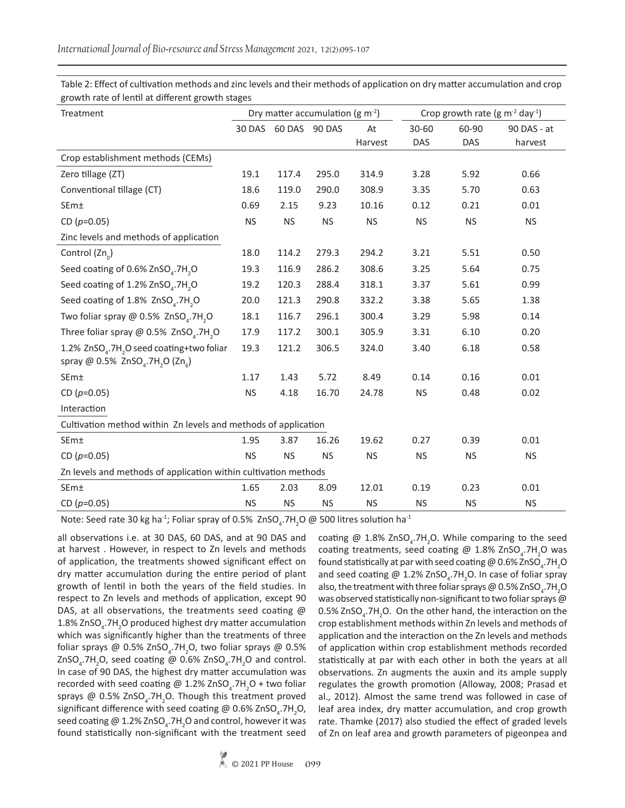| Treatment                                                                                                                                 | Dry matter accumulation ( $g$ m <sup>-2</sup> ) |               |           | Crop growth rate (g $m^{-2}$ day <sup>-1</sup> ) |           |           |             |  |  |
|-------------------------------------------------------------------------------------------------------------------------------------------|-------------------------------------------------|---------------|-----------|--------------------------------------------------|-----------|-----------|-------------|--|--|
|                                                                                                                                           | 30 DAS                                          | 60 DAS 90 DAS |           | At                                               | $30 - 60$ | 60-90     | 90 DAS - at |  |  |
|                                                                                                                                           |                                                 |               |           | Harvest                                          | DAS       | DAS       | harvest     |  |  |
| Crop establishment methods (CEMs)                                                                                                         |                                                 |               |           |                                                  |           |           |             |  |  |
| Zero tillage (ZT)                                                                                                                         | 19.1                                            | 117.4         | 295.0     | 314.9                                            | 3.28      | 5.92      | 0.66        |  |  |
| Conventional tillage (CT)                                                                                                                 | 18.6                                            | 119.0         | 290.0     | 308.9                                            | 3.35      | 5.70      | 0.63        |  |  |
| SEm±                                                                                                                                      | 0.69                                            | 2.15          | 9.23      | 10.16                                            | 0.12      | 0.21      | 0.01        |  |  |
| CD ( $p=0.05$ )                                                                                                                           | <b>NS</b>                                       | <b>NS</b>     | <b>NS</b> | <b>NS</b>                                        | <b>NS</b> | <b>NS</b> | <b>NS</b>   |  |  |
| Zinc levels and methods of application                                                                                                    |                                                 |               |           |                                                  |           |           |             |  |  |
| Control $(Zn_0)$                                                                                                                          | 18.0                                            | 114.2         | 279.3     | 294.2                                            | 3.21      | 5.51      | 0.50        |  |  |
| Seed coating of 0.6% ZnSO <sub>4</sub> .7H <sub>2</sub> O                                                                                 | 19.3                                            | 116.9         | 286.2     | 308.6                                            | 3.25      | 5.64      | 0.75        |  |  |
| Seed coating of 1.2% ZnSO <sub>4</sub> .7H <sub>2</sub> O                                                                                 | 19.2                                            | 120.3         | 288.4     | 318.1                                            | 3.37      | 5.61      | 0.99        |  |  |
| Seed coating of 1.8% ZnSO <sub>4</sub> .7H <sub>2</sub> O                                                                                 | 20.0                                            | 121.3         | 290.8     | 332.2                                            | 3.38      | 5.65      | 1.38        |  |  |
| Two foliar spray $\omega$ 0.5% ZnSO <sub>4</sub> .7H <sub>2</sub> O                                                                       | 18.1                                            | 116.7         | 296.1     | 300.4                                            | 3.29      | 5.98      | 0.14        |  |  |
| Three foliar spray @ 0.5% ZnSO <sub>4</sub> .7H <sub>2</sub> O                                                                            | 17.9                                            | 117.2         | 300.1     | 305.9                                            | 3.31      | 6.10      | 0.20        |  |  |
| 1.2% ZnSO <sub>4</sub> .7H <sub>2</sub> O seed coating+two foliar<br>spray @ 0.5% ZnSO <sub>4</sub> .7H <sub>2</sub> O (Zn <sub>6</sub> ) | 19.3                                            | 121.2         | 306.5     | 324.0                                            | 3.40      | 6.18      | 0.58        |  |  |
| SE <sub>m</sub>                                                                                                                           | 1.17                                            | 1.43          | 5.72      | 8.49                                             | 0.14      | 0.16      | 0.01        |  |  |
| CD $(p=0.05)$                                                                                                                             | <b>NS</b>                                       | 4.18          | 16.70     | 24.78                                            | <b>NS</b> | 0.48      | 0.02        |  |  |
| Interaction                                                                                                                               |                                                 |               |           |                                                  |           |           |             |  |  |
| Cultivation method within Zn levels and methods of application                                                                            |                                                 |               |           |                                                  |           |           |             |  |  |
| SEm±                                                                                                                                      | 1.95                                            | 3.87          | 16.26     | 19.62                                            | 0.27      | 0.39      | 0.01        |  |  |
| CD $(p=0.05)$                                                                                                                             | <b>NS</b>                                       | <b>NS</b>     | <b>NS</b> | <b>NS</b>                                        | <b>NS</b> | <b>NS</b> | <b>NS</b>   |  |  |
| Zn levels and methods of application within cultivation methods                                                                           |                                                 |               |           |                                                  |           |           |             |  |  |
| SEm±                                                                                                                                      | 1.65                                            | 2.03          | 8.09      | 12.01                                            | 0.19      | 0.23      | 0.01        |  |  |
| CD $(p=0.05)$                                                                                                                             | <b>NS</b>                                       | <b>NS</b>     | <b>NS</b> | <b>NS</b>                                        | <b>NS</b> | <b>NS</b> | <b>NS</b>   |  |  |

Table 2: Effect of cultivation methods and zinc levels and their methods of application on dry matter accumulation and crop growth rate of lentil at different growth stages

Note: Seed rate 30 kg ha<sup>-1</sup>; Foliar spray of 0.5%  $ZnSO_4$ .7H<sub>2</sub>O @ 500 litres solution ha<sup>-1</sup>

all observations i.e. at 30 DAS, 60 DAS, and at 90 DAS and at harvest . However, in respect to Zn levels and methods of application, the treatments showed significant effect on dry matter accumulation during the entire period of plant growth of lentil in both the years of the field studies. In respect to Zn levels and methods of application, except 90 DAS, at all observations, the treatments seed coating @ 1.8% ZnSO<sub>4</sub>.7H<sub>2</sub>O produced highest dry matter accumulation which was significantly higher than the treatments of three foliar sprays @ 0.5% ZnSO<sub>4</sub>.7H<sub>2</sub>O, two foliar sprays @ 0.5%  $ZnSO_4$ .7H<sub>2</sub>O, seed coating @ 0.6% ZnSO<sub>4</sub>.7H<sub>2</sub>O and control. In case of 90 DAS, the highest dry matter accumulation was recorded with seed coating @ 1.2%  $\text{ZnSO}_4$ .7H<sub>2</sub>O + two foliar sprays @  $0.5\%$  ZnSO<sub>4</sub>.7H<sub>2</sub>O. Though this treatment proved significant difference with seed coating @ 0.6% ZnSO<sub>4</sub>.7H<sub>2</sub>O, seed coating @ 1.2% ZnSO<sub>4</sub>.7H<sub>2</sub>O and control, however it was found statistically non-significant with the treatment seed

coating @ 1.8%  $ZnSO<sub>4</sub>$ .7H<sub>2</sub>O. While comparing to the seed coating treatments, seed coating @  $1.8\%$  ZnSO<sub>4</sub>.7H<sub>2</sub>O was found statistically at par with seed coating @ 0.6% ZnSO $_{\textrm{\tiny{4}}}$ .7H $_{\textrm{\tiny{2}}}$ O and seed coating @ 1.2% ZnSO<sub>4</sub>.7H<sub>2</sub>O. In case of foliar spray also, the treatment with three foliar sprays @ 0.5% ZnSO<sub>4</sub>.7H<sub>2</sub>O was observed statistically non-significant to two foliar sprays @  $0.5\%$  ZnSO<sub>4</sub>.7H<sub>2</sub>O. On the other hand, the interaction on the crop establishment methods within Zn levels and methods of application and the interaction on the Zn levels and methods of application within crop establishment methods recorded statistically at par with each other in both the years at all observations. Zn augments the auxin and its ample supply regulates the growth promotion (Alloway, 2008; Prasad et al., 2012). Almost the same trend was followed in case of leaf area index, dry matter accumulation, and crop growth rate. Thamke (2017) also studied the effect of graded levels of Zn on leaf area and growth parameters of pigeonpea and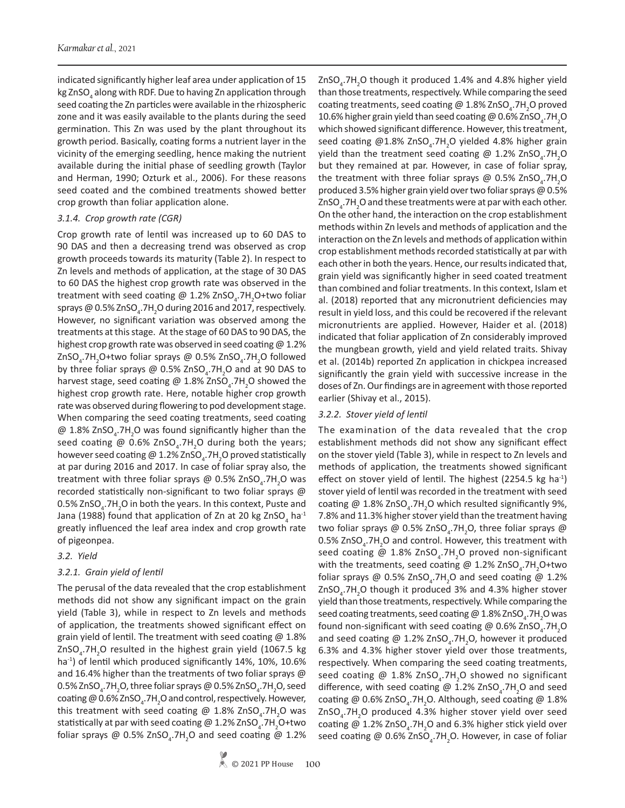indicated significantly higher leaf area under application of 15 kg ZnSO $_{\scriptscriptstyle 4}$  along with RDF. Due to having Zn application through seed coating the Zn particles were available in the rhizospheric zone and it was easily available to the plants during the seed germination. This Zn was used by the plant throughout its growth period. Basically, coating forms a nutrient layer in the vicinity of the emerging seedling, hence making the nutrient available during the initial phase of seedling growth (Taylor and Herman, 1990; Ozturk et al., 2006). For these reasons seed coated and the combined treatments showed better crop growth than foliar application alone.

## *3.1.4. Crop growth rate (CGR)*

Crop growth rate of lentil was increased up to 60 DAS to 90 DAS and then a decreasing trend was observed as crop growth proceeds towards its maturity (Table 2). In respect to Zn levels and methods of application, at the stage of 30 DAS to 60 DAS the highest crop growth rate was observed in the treatment with seed coating @ 1.2% ZnSO<sub>4</sub>.7H<sub>2</sub>O+two foliar sprays @ 0.5% ZnSO $_{\textrm{\tiny{4}}}$ .7H $_{\textrm{\tiny{2}}}$ O during 2016 and 2017, respectively. However, no significant variation was observed among the treatments at this stage. At the stage of 60 DAS to 90 DAS, the highest crop growth rate was observed in seed coating  $\omega$  1.2% ZnSO<sub>4</sub>.7H<sub>2</sub>O+two foliar sprays @ 0.5% ZnSO<sub>4</sub>.7H<sub>2</sub>O followed by three foliar sprays @ 0.5% ZnSO<sub>4</sub>.7H<sub>2</sub>O and at 90 DAS to harvest stage, seed coating @ 1.8% ZnSO<sub>4</sub>.7H<sub>2</sub>O showed the highest crop growth rate. Here, notable higher crop growth rate was observed during flowering to pod development stage. When comparing the seed coating treatments, seed coating  $@$  1.8% ZnSO<sub>4</sub>.7H<sub>2</sub>O was found significantly higher than the seed coating @  $0.6\%$  ZnSO<sub>4</sub>.7H<sub>2</sub>O during both the years; however seed coating @ 1.2% ZnSO<sub>4</sub>.7H<sub>2</sub>O proved statistically at par during 2016 and 2017. In case of foliar spray also, the treatment with three foliar sprays @ 0.5% ZnSO<sub>4</sub>.7H<sub>2</sub>O was recorded statistically non-significant to two foliar sprays @  $0.5\%$  ZnSO<sub>4</sub>.7H<sub>2</sub>O in both the years. In this context, Puste and Jana (1988) found that application of Zn at 20 kg ZnSO<sub>4</sub> ha<sup>-1</sup> greatly influenced the leaf area index and crop growth rate of pigeonpea.

*3.2. Yield*

# *3.2.1. Grain yield of lentil*

The perusal of the data revealed that the crop establishment methods did not show any significant impact on the grain yield (Table 3), while in respect to Zn levels and methods of application, the treatments showed significant effect on grain yield of lentil. The treatment with seed coating @ 1.8%  $\text{ZnSO}_4$ .7H<sub>2</sub>O resulted in the highest grain yield (1067.5 kg ha<sup>-1</sup>) of lentil which produced significantly 14%, 10%, 10.6% and 16.4% higher than the treatments of two foliar sprays @  $0.5\%$  ZnSO $_{\textrm{\tiny{4}}}$ .7H $_{\textrm{\tiny{2}}}$ O, three foliar sprays @ 0.5% ZnSO $_{\textrm{\tiny{4}}}$ .7H $_{\textrm{\tiny{2}}}$ O, seed coating @ 0.6% ZnSO<sub>4</sub>.7H<sub>2</sub>O and control, respectively. However, this treatment with seed coating @ 1.8% ZnSO<sub>4</sub>.7H<sub>2</sub>O was statistically at par with seed coating @ 1.2% ZnSO<sub>4</sub>.7H<sub>2</sub>O+two foliar sprays @ 0.5% ZnSO<sub>4</sub>.7H<sub>2</sub>O and seed coating @ 1.2%

than those treatments, respectively. While comparing the seed coating treatments, seed coating @ 1.8% ZnSO<sub>4</sub>.7H<sub>2</sub>O proved 10.6% higher grain yield than seed coating @ 0.6% ZnSO<sub>4</sub>.7H<sub>2</sub>O which showed significant difference. However, this treatment, seed coating @1.8% ZnSO<sub>4</sub>.7H<sub>2</sub>O yielded 4.8% higher grain yield than the treatment seed coating @ 1.2% ZnSO<sub>4</sub>.7H<sub>2</sub>O but they remained at par. However, in case of foliar spray, the treatment with three foliar sprays @  $0.5\%$  ZnSO<sub>4</sub>.7H<sub>2</sub>O produced 3.5% higher grain yield over two foliar sprays @ 0.5% ZnSO<sub>4</sub>.7H<sub>2</sub>O and these treatments were at par with each other. On the other hand, the interaction on the crop establishment methods within Zn levels and methods of application and the interaction on the Zn levels and methods of application within crop establishment methods recorded statistically at par with each other in both the years. Hence, our results indicated that, grain yield was significantly higher in seed coated treatment than combined and foliar treatments. In this context, Islam et al. (2018) reported that any micronutrient deficiencies may result in yield loss, and this could be recovered if the relevant micronutrients are applied. However, Haider et al. (2018) indicated that foliar application of Zn considerably improved the mungbean growth, yield and yield related traits. Shivay et al. (2014b) reported Zn application in chickpea increased significantly the grain yield with successive increase in the doses of Zn. Our findings are in agreement with those reported earlier (Shivay et al., 2015).

 $ZnSO<sub>4</sub>$ .7H<sub>2</sub>O though it produced 1.4% and 4.8% higher yield

# *3.2.2. Stover yield of lentil*

The examination of the data revealed that the crop establishment methods did not show any significant effect on the stover yield (Table 3), while in respect to Zn levels and methods of application, the treatments showed significant effect on stover yield of lentil. The highest  $(2254.5 \text{ kg ha}^{-1})$ stover yield of lentil was recorded in the treatment with seed coating  $@$  1.8% ZnSO<sub>4</sub>.7H<sub>2</sub>O which resulted significantly 9%, 7.8% and 11.3% higher stover yield than the treatment having two foliar sprays @ 0.5% ZnSO<sub>4</sub>.7H<sub>2</sub>O, three foliar sprays @ 0.5% ZnSO<sub>4</sub>.7H<sub>2</sub>O and control. However, this treatment with seed coating @  $1.8\%$  ZnSO<sub>4</sub>.7H<sub>2</sub>O proved non-significant with the treatments, seed coating @  $1.2\%$  ZnSO<sub>4</sub>.7H<sub>2</sub>O+two foliar sprays @ 0.5% ZnSO<sub>4</sub>.7H<sub>2</sub>O and seed coating @ 1.2% ZnSO<sub>4</sub>.7H<sub>2</sub>O though it produced 3% and 4.3% higher stover yield than those treatments, respectively. While comparing the seed coating treatments, seed coating @ 1.8% ZnSO<sub>4</sub>.7H<sub>2</sub>O was found non-significant with seed coating @ 0.6% ZnSO<sub>4</sub>.7H<sub>2</sub>O and seed coating @  $1.2\%$  ZnSO<sub>4</sub>.7H<sub>2</sub>O, however it produced 6.3% and 4.3% higher stover yield over those treatments, respectively. When comparing the seed coating treatments, seed coating @  $1.8\%$  ZnSO<sub>4</sub>.7H<sub>2</sub>O showed no significant difference, with seed coating @ 1.2% ZnSO<sub>4</sub>.7H<sub>2</sub>O and seed coating @ 0.6% ZnSO<sub>4</sub>.7H<sub>2</sub>O. Although, seed coating @ 1.8% ZnSO<sub>4</sub>.7H<sub>2</sub>O produced 4.3% higher stover yield over seed coating @  $1.2\%$  ZnSO<sub>4</sub>.7H<sub>2</sub>O and 6.3% higher stick yield over seed coating @  $0.6\%$  ZnSO<sub>4</sub>.7H<sub>2</sub>O. However, in case of foliar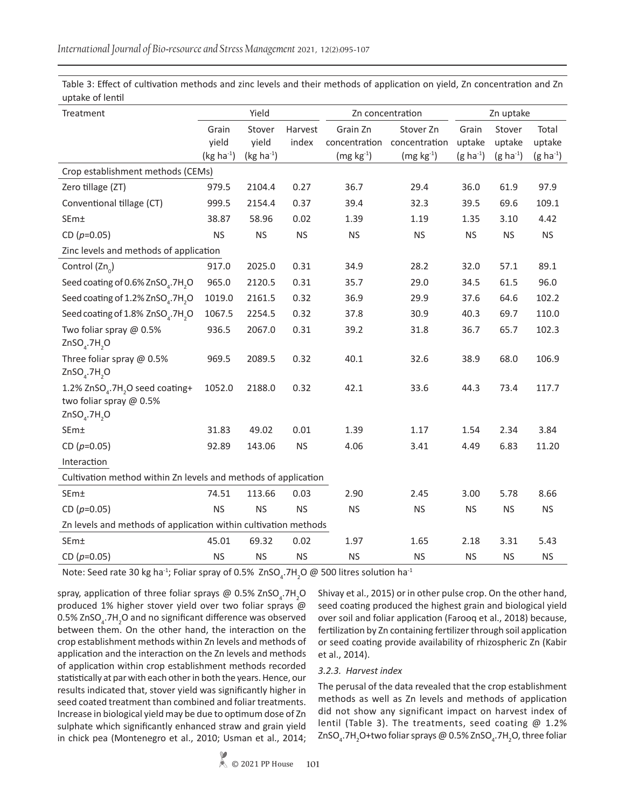Table 3: Effect of cultivation methods and zinc levels and their methods of application on yield, Zn concentration and Zn uptake of lentil

| Treatment                                                                                                        | Yield            |                 |                  | Zn concentration          | Zn uptake                  |                 |                  |                 |  |
|------------------------------------------------------------------------------------------------------------------|------------------|-----------------|------------------|---------------------------|----------------------------|-----------------|------------------|-----------------|--|
|                                                                                                                  | Grain<br>yield   | Stover<br>yield | Harvest<br>index | Grain Zn<br>concentration | Stover Zn<br>concentration | Grain<br>uptake | Stover<br>uptake | Total<br>uptake |  |
|                                                                                                                  | (kg ha $^{-1}$ ) | $(kg ha-1)$     |                  | $(mg kg-1)$               | $(mg kg-1)$                | $(g ha^{-1})$   | $(g ha^{-1})$    | $(g ha^{-1})$   |  |
| Crop establishment methods (CEMs)                                                                                |                  |                 |                  |                           |                            |                 |                  |                 |  |
| Zero tillage (ZT)                                                                                                | 979.5            | 2104.4          | 0.27             | 36.7                      | 29.4                       | 36.0            | 61.9             | 97.9            |  |
| Conventional tillage (CT)                                                                                        | 999.5            | 2154.4          | 0.37             | 39.4                      | 32.3                       | 39.5            | 69.6             | 109.1           |  |
| SEm±                                                                                                             | 38.87            | 58.96           | 0.02             | 1.39                      | 1.19                       | 1.35            | 3.10             | 4.42            |  |
| CD ( $p=0.05$ )                                                                                                  | <b>NS</b>        | <b>NS</b>       | <b>NS</b>        | <b>NS</b>                 | <b>NS</b>                  | <b>NS</b>       | <b>NS</b>        | <b>NS</b>       |  |
| Zinc levels and methods of application                                                                           |                  |                 |                  |                           |                            |                 |                  |                 |  |
| Control (Zn <sub>o</sub> )                                                                                       | 917.0            | 2025.0          | 0.31             | 34.9                      | 28.2                       | 32.0            | 57.1             | 89.1            |  |
| Seed coating of 0.6% ZnSO <sub>4</sub> .7H <sub>2</sub> O                                                        | 965.0            | 2120.5          | 0.31             | 35.7                      | 29.0                       | 34.5            | 61.5             | 96.0            |  |
| Seed coating of 1.2% ZnSO <sub>4</sub> .7H <sub>2</sub> O                                                        | 1019.0           | 2161.5          | 0.32             | 36.9                      | 29.9                       | 37.6            | 64.6             | 102.2           |  |
| Seed coating of 1.8% ZnSO <sub>4</sub> .7H <sub>2</sub> O                                                        | 1067.5           | 2254.5          | 0.32             | 37.8                      | 30.9                       | 40.3            | 69.7             | 110.0           |  |
| Two foliar spray @ 0.5%<br>$ZnSOa$ .7H <sub>2</sub> O                                                            | 936.5            | 2067.0          | 0.31             | 39.2                      | 31.8                       | 36.7            | 65.7             | 102.3           |  |
| Three foliar spray @ 0.5%<br>$ZnSO4$ .7H <sub>2</sub> O                                                          | 969.5            | 2089.5          | 0.32             | 40.1                      | 32.6                       | 38.9            | 68.0             | 106.9           |  |
| 1.2% ZnSO <sub>4</sub> .7H <sub>2</sub> O seed coating+<br>two foliar spray @ 0.5%<br>$ZnSO4$ .7H <sub>2</sub> O | 1052.0           | 2188.0          | 0.32             | 42.1                      | 33.6                       | 44.3            | 73.4             | 117.7           |  |
| SEm±                                                                                                             | 31.83            | 49.02           | 0.01             | 1.39                      | 1.17                       | 1.54            | 2.34             | 3.84            |  |
| CD ( $p=0.05$ )                                                                                                  | 92.89            | 143.06          | <b>NS</b>        | 4.06                      | 3.41                       | 4.49            | 6.83             | 11.20           |  |
| Interaction                                                                                                      |                  |                 |                  |                           |                            |                 |                  |                 |  |
| Cultivation method within Zn levels and methods of application                                                   |                  |                 |                  |                           |                            |                 |                  |                 |  |
| SEm±                                                                                                             | 74.51            | 113.66          | 0.03             | 2.90                      | 2.45                       | 3.00            | 5.78             | 8.66            |  |
| CD $(p=0.05)$                                                                                                    | <b>NS</b>        | <b>NS</b>       | <b>NS</b>        | <b>NS</b>                 | <b>NS</b>                  | <b>NS</b>       | <b>NS</b>        | <b>NS</b>       |  |
| Zn levels and methods of application within cultivation methods                                                  |                  |                 |                  |                           |                            |                 |                  |                 |  |
| SEm±                                                                                                             | 45.01            | 69.32           | 0.02             | 1.97                      | 1.65                       | 2.18            | 3.31             | 5.43            |  |
| CD $(p=0.05)$                                                                                                    | <b>NS</b>        | <b>NS</b>       | <b>NS</b>        | <b>NS</b>                 | <b>NS</b>                  | <b>NS</b>       | <b>NS</b>        | <b>NS</b>       |  |

Note: Seed rate 30 kg ha<sup>-1</sup>; Foliar spray of 0.5%  $ZnSO_4$ .7H<sub>2</sub>O @ 500 litres solution ha<sup>-1</sup>

spray, application of three foliar sprays @ 0.5% ZnSO<sub>4</sub>.7H<sub>2</sub>O produced 1% higher stover yield over two foliar sprays @  $0.5\%$  ZnSO<sub>4</sub>.7H<sub>2</sub>O and no significant difference was observed between them. On the other hand, the interaction on the crop establishment methods within Zn levels and methods of application and the interaction on the Zn levels and methods of application within crop establishment methods recorded statistically at par with each other in both the years. Hence, our results indicated that, stover yield was significantly higher in seed coated treatment than combined and foliar treatments. Increase in biological yield may be due to optimum dose of Zn sulphate which significantly enhanced straw and grain yield in chick pea (Montenegro et al., 2010; Usman et al., 2014;

Shivay et al., 2015) or in other pulse crop. On the other hand, seed coating produced the highest grain and biological yield over soil and foliar application (Farooq et al., 2018) because, fertilization by Zn containing fertilizer through soil application or seed coating provide availability of rhizospheric Zn (Kabir et al., 2014).

## *3.2.3. Harvest index*

The perusal of the data revealed that the crop establishment methods as well as Zn levels and methods of application did not show any significant impact on harvest index of lentil (Table 3). The treatments, seed coating @ 1.2% ZnSO<sub>4</sub>.7H<sub>2</sub>O+two foliar sprays @ 0.5% ZnSO<sub>4</sub>.7H<sub>2</sub>O, three foliar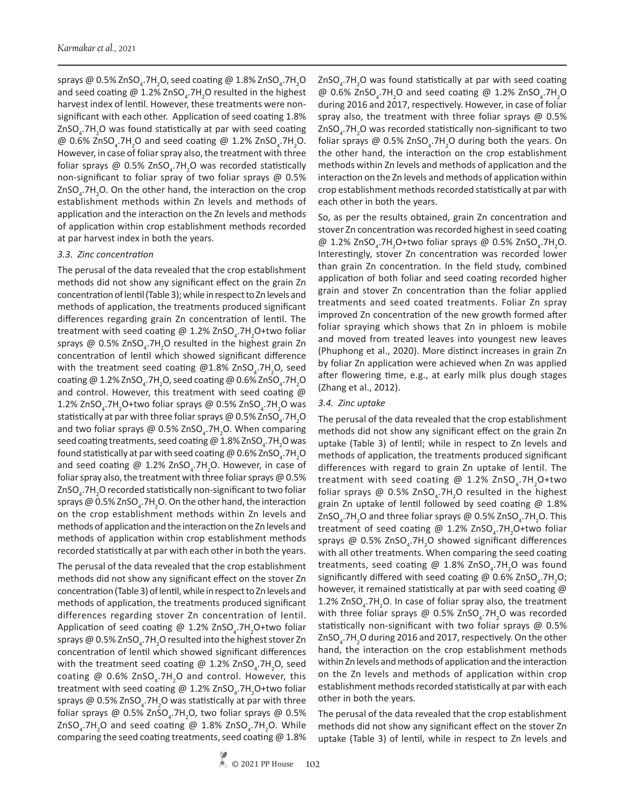sprays @ 0.5% ZnSO<sub>4</sub>.7H<sub>2</sub>O, seed coating @ 1.8% ZnSO<sub>4</sub>.7H<sub>2</sub>O and seed coating @ 1.2% ZnSO<sub>4</sub>.7H<sub>2</sub>O resulted in the highest harvest index of lentil. However, these treatments were nonsignificant with each other. Application of seed coating 1.8%  $\text{ZnSO}_4$ .7H<sub>2</sub>O was found statistically at par with seed coating @  $0.6\%$  ZnSO<sub>4</sub>.7H<sub>2</sub>O and seed coating @ 1.2% ZnSO<sub>4</sub>.7H<sub>2</sub>O. However, in case of foliar spray also, the treatment with three foliar sprays @ 0.5% ZnSO<sub>4</sub>.7H<sub>2</sub>O was recorded statistically non-significant to foliar spray of two foliar sprays @ 0.5%  $ZnSO<sub>4</sub>$ .7H<sub>2</sub>O. On the other hand, the interaction on the crop establishment methods within Zn levels and methods of application and the interaction on the Zn levels and methods of application within crop establishment methods recorded at par harvest index in both the years.

## *3.3. Zinc concentration*

The perusal of the data revealed that the crop establishment methods did not show any significant effect on the grain Zn concentration of lentil (Table 3); while in respect to Zn levels and methods of application, the treatments produced significant differences regarding grain Zn concentration of lentil. The treatment with seed coating @ 1.2% ZnSO<sub>4</sub>.7H<sub>2</sub>O+two foliar sprays @ 0.5% ZnSO<sub>4</sub>.7H<sub>2</sub>O resulted in the highest grain Zn concentration of lentil which showed significant difference with the treatment seed coating @1.8% ZnSO<sub>4</sub>.7H<sub>2</sub>O, seed coating @ 1.2% ZnSO<sub>4</sub>.7H<sub>2</sub>O, seed coating @ 0.6% ZnSO<sub>4</sub>.7H<sub>2</sub>O and control. However, this treatment with seed coating @ 1.2% ZnSO<sub>4</sub>.7H<sub>2</sub>O+two foliar sprays @ 0.5% ZnSO<sub>4</sub>.7H<sub>2</sub>O was statistically at par with three foliar sprays @ 0.5% ZnSO $_{\textrm{\tiny{4}}}$ .7H $_{\textrm{\tiny{2}}}$ O and two foliar sprays @ 0.5% ZnSO<sub>4</sub>.7H<sub>2</sub>O. When comparing seed coating treatments, seed coating @ 1.8% ZnSO<sub>4</sub>.7H<sub>2</sub>O was found statistically at par with seed coating @ 0.6% ZnSO $_{\textrm{\tiny{4}}}$ .7H $_{\textrm{\tiny{2}}}$ O and seed coating @  $1.2\%$  ZnSO<sub>4</sub>.7H<sub>2</sub>O. However, in case of foliar spray also, the treatment with three foliar sprays @ 0.5% ZnSO $_4$ .7H $_2$ O recorded statistically non-significant to two foliar sprays @ 0.5% ZnSO $_{\textrm{\tiny{4}}}$ .7H $_{\textrm{\tiny{2}}}$ O. On the other hand, the interaction on the crop establishment methods within Zn levels and methods of application and the interaction on the Zn levels and methods of application within crop establishment methods recorded statistically at par with each other in both the years.

The perusal of the data revealed that the crop establishment methods did not show any significant effect on the stover Zn concentration (Table 3) of lentil, while in respect to Zn levels and methods of application, the treatments produced significant differences regarding stover Zn concentration of lentil. Application of seed coating @ 1.2% ZnSO<sub>4</sub>.7H<sub>2</sub>O+two foliar sprays @ 0.5% ZnSO $_{\textrm{\tiny{4}}}$ .7H $_{\textrm{\tiny{2}}}$ O resulted into the highest stover Zn concentration of lentil which showed significant differences with the treatment seed coating @ 1.2% ZnSO<sub>4</sub>.7H<sub>2</sub>O, seed coating @  $0.6\%$  ZnSO<sub>4</sub>.7H<sub>2</sub>O and control. However, this treatment with seed coating @ 1.2% ZnSO<sub>4</sub>.7H<sub>2</sub>O+two foliar sprays @ 0.5% ZnSO<sub>4</sub>.7H<sub>2</sub>O was statistically at par with three foliar sprays @ 0.5% ZnSO<sub>4</sub>.7H<sub>2</sub>O, two foliar sprays @ 0.5%  $ZnSO_4$ .7H<sub>2</sub>O and seed coating @ 1.8% ZnSO<sub>4</sub>.7H<sub>2</sub>O. While comparing the seed coating treatments, seed coating @ 1.8%

 $\text{ZnSO}_4$ .7H<sub>2</sub>O was found statistically at par with seed coating @ 0.6% ZnSO<sub>4</sub>.7H<sub>2</sub>O and seed coating @ 1.2% ZnSO<sub>4</sub>.7H<sub>2</sub>O during 2016 and 2017, respectively. However, in case of foliar spray also, the treatment with three foliar sprays @ 0.5% ZnSO<sub>4</sub>.7H<sub>2</sub>O was recorded statistically non-significant to two foliar sprays @ 0.5% ZnSO<sub>4</sub>.7H<sub>2</sub>O during both the years. On the other hand, the interaction on the crop establishment methods within Zn levels and methods of application and the interaction on the Zn levels and methods of application within crop establishment methods recorded statistically at par with each other in both the years.

So, as per the results obtained, grain Zn concentration and stover Zn concentration was recorded highest in seed coating @ 1.2% ZnSO<sub>4</sub>.7H<sub>2</sub>O+two foliar sprays @ 0.5% ZnSO<sub>4</sub>.7H<sub>2</sub>O. Interestingly, stover Zn concentration was recorded lower than grain Zn concentration. In the field study, combined application of both foliar and seed coating recorded higher grain and stover Zn concentration than the foliar applied treatments and seed coated treatments. Foliar Zn spray improved Zn concentration of the new growth formed after foliar spraying which shows that Zn in phloem is mobile and moved from treated leaves into youngest new leaves (Phuphong et al., 2020). More distinct increases in grain Zn by foliar Zn application were achieved when Zn was applied after flowering time, e.g., at early milk plus dough stages (Zhang et al., 2012).

## *3.4. Zinc uptake*

The perusal of the data revealed that the crop establishment methods did not show any significant effect on the grain Zn uptake (Table 3) of lentil; while in respect to Zn levels and methods of application, the treatments produced significant differences with regard to grain Zn uptake of lentil. The treatment with seed coating @ 1.2% ZnSO<sub>4</sub>.7H<sub>2</sub>O+two foliar sprays @  $0.5\%$  ZnSO<sub>4</sub>.7H<sub>2</sub>O resulted in the highest grain Zn uptake of lentil followed by seed coating @ 1.8%  $\mathsf{ZnSO}_4$ .7H<sub>2</sub>O and three foliar sprays @ 0.5% ZnSO<sub>4</sub>.7H<sub>2</sub>O. This treatment of seed coating @ 1.2% ZnSO<sub>4</sub>.7H<sub>2</sub>O+two foliar sprays @ 0.5% ZnSO<sub>4</sub>.7H<sub>2</sub>O showed significant differences with all other treatments. When comparing the seed coating treatments, seed coating @ 1.8% ZnSO<sub>4</sub>.7H<sub>2</sub>O was found significantly differed with seed coating @ 0.6% ZnSO<sub>4</sub>.7H<sub>2</sub>O; however, it remained statistically at par with seed coating @ 1.2% ZnSO<sub>4</sub>.7H<sub>2</sub>O. In case of foliar spray also, the treatment with three foliar sprays @ 0.5% ZnSO<sub>4</sub>.7H<sub>2</sub>O was recorded statistically non-significant with two foliar sprays @ 0.5% ZnSO<sub>4</sub>.7H<sub>2</sub>O during 2016 and 2017, respectively. On the other hand, the interaction on the crop establishment methods within Zn levels and methods of application and the interaction on the Zn levels and methods of application within crop establishment methods recorded statistically at par with each other in both the years.

The perusal of the data revealed that the crop establishment methods did not show any significant effect on the stover Zn uptake (Table 3) of lentil, while in respect to Zn levels and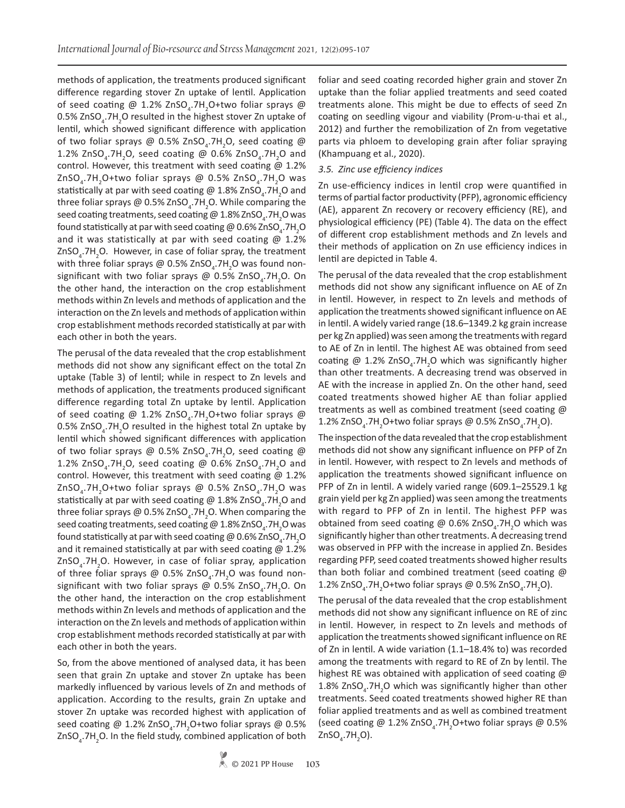methods of application, the treatments produced significant difference regarding stover Zn uptake of lentil. Application of seed coating @ 1.2%  $\text{ZnSO}_4$ .7H<sub>2</sub>O+two foliar sprays @ 0.5% ZnSO<sub>4</sub>.7H<sub>2</sub>O resulted in the highest stover Zn uptake of lentil, which showed significant difference with application of two foliar sprays @ 0.5% ZnSO<sub>4</sub>.7H<sub>2</sub>O, seed coating @ 1.2% ZnSO<sub>4</sub>.7H<sub>2</sub>O, seed coating @ 0.6% ZnSO<sub>4</sub>.7H<sub>2</sub>O and control. However, this treatment with seed coating @ 1.2% ZnSO<sub>4</sub>.7H<sub>2</sub>O+two foliar sprays @ 0.5% ZnSO<sub>4</sub>.7H<sub>2</sub>O was statistically at par with seed coating @ 1.8% ZnSO<sub>4</sub>.7H<sub>2</sub>O and three foliar sprays @ 0.5% ZnSO<sub>4</sub>.7H<sub>2</sub>O. While comparing the seed coating treatments, seed coating @ 1.8% ZnSO<sub>4</sub>.7H<sub>2</sub>O was found statistically at par with seed coating @ 0.6% ZnSO<sub>4</sub>.7H<sub>2</sub>O and it was statistically at par with seed coating  $@1.2\%$  $ZnSO<sub>4</sub>$ .7H<sub>2</sub>O. However, in case of foliar spray, the treatment with three foliar sprays @ 0.5% ZnSO<sub>4</sub>.7H<sub>2</sub>O was found nonsignificant with two foliar sprays @  $0.5\%$  ZnSO<sub>4</sub>.7H<sub>2</sub>O. On the other hand, the interaction on the crop establishment methods within Zn levels and methods of application and the interaction on the Zn levels and methods of application within crop establishment methods recorded statistically at par with each other in both the years.

The perusal of the data revealed that the crop establishment methods did not show any significant effect on the total Zn uptake (Table 3) of lentil; while in respect to Zn levels and methods of application, the treatments produced significant difference regarding total Zn uptake by lentil. Application of seed coating @ 1.2% ZnSO<sub>4</sub>.7H<sub>2</sub>O+two foliar sprays @ 0.5% ZnSO<sub>4</sub>.7H<sub>2</sub>O resulted in the highest total Zn uptake by lentil which showed significant differences with application of two foliar sprays @ 0.5% ZnSO<sub>4</sub>.7H<sub>2</sub>O, seed coating @ 1.2% ZnSO<sub>4</sub>.7H<sub>2</sub>O, seed coating @ 0.6% ZnSO<sub>4</sub>.7H<sub>2</sub>O and control. However, this treatment with seed coating  $@$  1.2% ZnSO<sub>4</sub>.7H<sub>2</sub>O+two foliar sprays @ 0.5% ZnSO<sub>4</sub>.7H<sub>2</sub>O was statistically at par with seed coating @ 1.8% ZnSO<sub>4</sub>.7H<sub>2</sub>O and three foliar sprays @ 0.5% ZnSO<sub>4</sub>.7H<sub>2</sub>O. When comparing the seed coating treatments, seed coating @ 1.8% ZnSO<sub>4</sub>.7H<sub>2</sub>O was found statistically at par with seed coating @ 0.6% ZnSO<sub>4</sub>.7H<sub>2</sub>O and it remained statistically at par with seed coating  $@1.2\%$ ZnSO<sub>4</sub>.7H<sub>2</sub>O. However, in case of foliar spray, application of three foliar sprays @  $0.5\%$  ZnSO<sub>4</sub>.7H<sub>2</sub>O was found nonsignificant with two foliar sprays @ 0.5% ZnSO<sub>4</sub>.7H<sub>2</sub>O. On the other hand, the interaction on the crop establishment methods within Zn levels and methods of application and the interaction on the Zn levels and methods of application within crop establishment methods recorded statistically at par with each other in both the years.

So, from the above mentioned of analysed data, it has been seen that grain Zn uptake and stover Zn uptake has been markedly influenced by various levels of Zn and methods of application. According to the results, grain Zn uptake and stover Zn uptake was recorded highest with application of seed coating @ 1.2% ZnSO<sub>4</sub>.7H<sub>2</sub>O+two foliar sprays @ 0.5%  $ZnSO<sub>4</sub>$ .7H<sub>2</sub>O. In the field study, combined application of both foliar and seed coating recorded higher grain and stover Zn uptake than the foliar applied treatments and seed coated treatments alone. This might be due to effects of seed Zn coating on seedling vigour and viability (Prom-u-thai et al., 2012) and further the remobilization of Zn from vegetative parts via phloem to developing grain after foliar spraying (Khampuang et al., 2020).

## *3.5. Zinc use efficiency indices*

Zn use-efficiency indices in lentil crop were quantified in terms of partial factor productivity (PFP), agronomic efficiency (AE), apparent Zn recovery or recovery efficiency (RE), and physiological efficiency (PE) (Table 4). The data on the effect of different crop establishment methods and Zn levels and their methods of application on Zn use efficiency indices in lentil are depicted in Table 4.

The perusal of the data revealed that the crop establishment methods did not show any significant influence on AE of Zn in lentil. However, in respect to Zn levels and methods of application the treatments showed significant influence on AE in lentil. A widely varied range (18.6–1349.2 kg grain increase per kg Zn applied) was seen among the treatments with regard to AE of Zn in lentil. The highest AE was obtained from seed coating @ 1.2%  $ZnSO<sub>4</sub>$ .7H<sub>2</sub>O which was significantly higher than other treatments. A decreasing trend was observed in AE with the increase in applied Zn. On the other hand, seed coated treatments showed higher AE than foliar applied treatments as well as combined treatment (seed coating @ 1.2% ZnSO<sub>4</sub>.7H<sub>2</sub>O+two foliar sprays @ 0.5% ZnSO<sub>4</sub>.7H<sub>2</sub>O).

The inspection of the data revealed that the crop establishment methods did not show any significant influence on PFP of Zn in lentil. However, with respect to Zn levels and methods of application the treatments showed significant influence on PFP of Zn in lentil. A widely varied range (609.1–25529.1 kg grain yield per kg Zn applied) was seen among the treatments with regard to PFP of Zn in lentil. The highest PFP was obtained from seed coating @ 0.6% ZnSO<sub>4</sub>.7H<sub>2</sub>O which was significantly higher than other treatments. A decreasing trend was observed in PFP with the increase in applied Zn. Besides regarding PFP, seed coated treatments showed higher results than both foliar and combined treatment (seed coating @ 1.2% ZnSO<sub>4</sub>.7H<sub>2</sub>O+two foliar sprays @ 0.5% ZnSO<sub>4</sub>.7H<sub>2</sub>O).

The perusal of the data revealed that the crop establishment methods did not show any significant influence on RE of zinc in lentil. However, in respect to Zn levels and methods of application the treatments showed significant influence on RE of Zn in lentil. A wide variation (1.1–18.4% to) was recorded among the treatments with regard to RE of Zn by lentil. The highest RE was obtained with application of seed coating @ 1.8% ZnSO<sub>4</sub>.7H<sub>2</sub>O which was significantly higher than other treatments. Seed coated treatments showed higher RE than foliar applied treatments and as well as combined treatment (seed coating @ 1.2% ZnSO<sub>4</sub>.7H<sub>2</sub>O+two foliar sprays @ 0.5%  $ZnSO<sub>4</sub>$ .7H<sub>2</sub>O).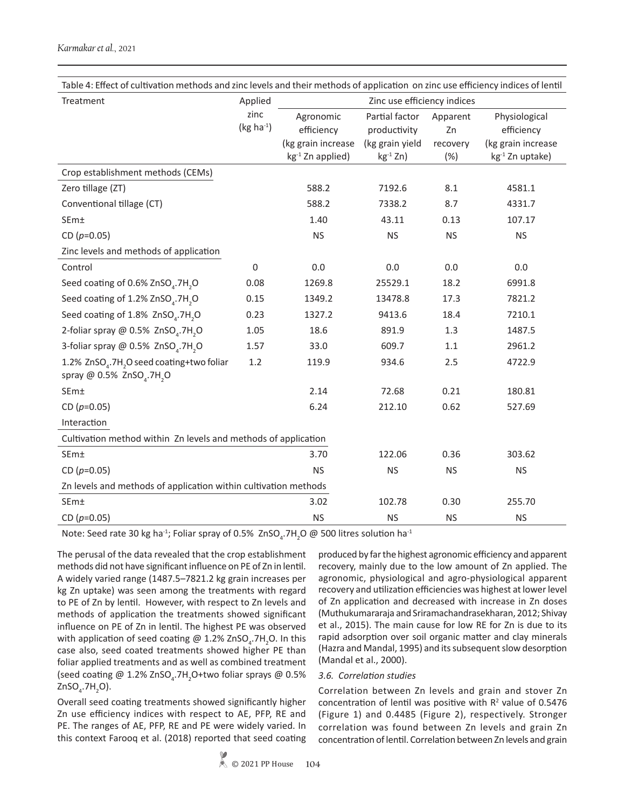| Table 4: Effect of cultivation methods and zinc levels and their methods of application on zinc use efficiency indices of lentil |                     |                                                                               |                                                                     |                                   |                                                                                  |  |  |  |
|----------------------------------------------------------------------------------------------------------------------------------|---------------------|-------------------------------------------------------------------------------|---------------------------------------------------------------------|-----------------------------------|----------------------------------------------------------------------------------|--|--|--|
| Treatment                                                                                                                        | Applied             | Zinc use efficiency indices                                                   |                                                                     |                                   |                                                                                  |  |  |  |
|                                                                                                                                  | zinc<br>$(kg ha-1)$ | Agronomic<br>efficiency<br>(kg grain increase<br>kg <sup>-1</sup> Zn applied) | Partial factor<br>productivity<br>(kg grain yield<br>$kg^{-1} Zn$ ) | Apparent<br>Zn<br>recovery<br>(%) | Physiological<br>efficiency<br>(kg grain increase<br>kg <sup>-1</sup> Zn uptake) |  |  |  |
| Crop establishment methods (CEMs)                                                                                                |                     |                                                                               |                                                                     |                                   |                                                                                  |  |  |  |
| Zero tillage (ZT)                                                                                                                |                     | 588.2                                                                         | 7192.6                                                              | 8.1                               | 4581.1                                                                           |  |  |  |
| Conventional tillage (CT)                                                                                                        |                     | 588.2                                                                         | 7338.2                                                              | 8.7                               | 4331.7                                                                           |  |  |  |
| SEm±                                                                                                                             |                     | 1.40                                                                          | 43.11                                                               | 0.13                              | 107.17                                                                           |  |  |  |
| CD $(p=0.05)$                                                                                                                    |                     | <b>NS</b>                                                                     | <b>NS</b>                                                           | <b>NS</b>                         | <b>NS</b>                                                                        |  |  |  |
| Zinc levels and methods of application                                                                                           |                     |                                                                               |                                                                     |                                   |                                                                                  |  |  |  |
| Control                                                                                                                          | 0                   | 0.0                                                                           | 0.0                                                                 | 0.0                               | 0.0                                                                              |  |  |  |
| Seed coating of 0.6% ZnSO <sub>4</sub> .7H <sub>2</sub> O                                                                        | 0.08                | 1269.8                                                                        | 25529.1                                                             | 18.2                              | 6991.8                                                                           |  |  |  |
| Seed coating of 1.2% ZnSO <sub>4</sub> .7H <sub>2</sub> O                                                                        | 0.15                | 1349.2                                                                        | 13478.8                                                             | 17.3                              | 7821.2                                                                           |  |  |  |
| Seed coating of 1.8% ZnSO <sub>4</sub> .7H <sub>2</sub> O                                                                        | 0.23                | 1327.2                                                                        | 9413.6                                                              | 18.4                              | 7210.1                                                                           |  |  |  |
| 2-foliar spray @ 0.5% ZnSO <sub>4</sub> .7H <sub>2</sub> O                                                                       | 1.05                | 18.6                                                                          | 891.9                                                               | 1.3                               | 1487.5                                                                           |  |  |  |
| 3-foliar spray @ 0.5% ZnSO <sub>4</sub> .7H <sub>2</sub> O                                                                       | 1.57                | 33.0                                                                          | 609.7                                                               | 1.1                               | 2961.2                                                                           |  |  |  |
| 1.2% ZnSO <sub>4</sub> .7H <sub>2</sub> O seed coating+two foliar<br>spray @ $0.5\%$ ZnSO <sub>4</sub> .7H <sub>2</sub> O        | 1.2                 | 119.9                                                                         | 934.6                                                               | 2.5                               | 4722.9                                                                           |  |  |  |
| SEm±                                                                                                                             |                     | 2.14                                                                          | 72.68                                                               | 0.21                              | 180.81                                                                           |  |  |  |
| CD $(p=0.05)$                                                                                                                    |                     | 6.24                                                                          | 212.10                                                              | 0.62                              | 527.69                                                                           |  |  |  |
| Interaction                                                                                                                      |                     |                                                                               |                                                                     |                                   |                                                                                  |  |  |  |
| Cultivation method within Zn levels and methods of application                                                                   |                     |                                                                               |                                                                     |                                   |                                                                                  |  |  |  |
| SEm±                                                                                                                             |                     | 3.70                                                                          | 122.06                                                              | 0.36                              | 303.62                                                                           |  |  |  |
| CD $(p=0.05)$                                                                                                                    |                     | <b>NS</b>                                                                     | <b>NS</b>                                                           | <b>NS</b>                         | <b>NS</b>                                                                        |  |  |  |
| Zn levels and methods of application within cultivation methods                                                                  |                     |                                                                               |                                                                     |                                   |                                                                                  |  |  |  |
| SEm±                                                                                                                             |                     | 3.02                                                                          | 102.78                                                              | 0.30                              | 255.70                                                                           |  |  |  |
| CD $(p=0.05)$                                                                                                                    |                     | <b>NS</b>                                                                     | <b>NS</b>                                                           | <b>NS</b>                         | <b>NS</b>                                                                        |  |  |  |

Note: Seed rate 30 kg ha<sup>-1</sup>; Foliar spray of 0.5%  $ZnSO_4$ .7H<sub>2</sub>O @ 500 litres solution ha<sup>-1</sup>

The perusal of the data revealed that the crop establishment methods did not have significant influence on PE of Zn in lentil. A widely varied range (1487.5–7821.2 kg grain increases per kg Zn uptake) was seen among the treatments with regard to PE of Zn by lentil. However, with respect to Zn levels and methods of application the treatments showed significant influence on PE of Zn in lentil. The highest PE was observed with application of seed coating @ 1.2% ZnSO<sub>4</sub>.7H<sub>2</sub>O. In this case also, seed coated treatments showed higher PE than foliar applied treatments and as well as combined treatment (seed coating @ 1.2% ZnSO<sub>4</sub>.7H<sub>2</sub>O+two foliar sprays @ 0.5%  $ZnSO<sub>4</sub>$ .7H<sub>2</sub>O).

Overall seed coating treatments showed significantly higher Zn use efficiency indices with respect to AE, PFP, RE and PE. The ranges of AE, PFP, RE and PE were widely varied. In this context Farooq et al. (2018) reported that seed coating produced by far the highest agronomic efficiency and apparent recovery, mainly due to the low amount of Zn applied. The agronomic, physiological and agro-physiological apparent recovery and utilization efficiencies was highest at lower level of Zn application and decreased with increase in Zn doses (Muthukumararaja and Sriramachandrasekharan, 2012; Shivay et al., 2015). The main cause for low RE for Zn is due to its rapid adsorption over soil organic matter and clay minerals (Hazra and Mandal, 1995) and its subsequent slow desorption (Mandal et al., 2000).

# *3.6. Correlation studies*

Correlation between Zn levels and grain and stover Zn concentration of lentil was positive with  $R<sup>2</sup>$  value of 0.5476 (Figure 1) and 0.4485 (Figure 2), respectively. Stronger correlation was found between Zn levels and grain Zn concentration of lentil. Correlation between Zn levels and grain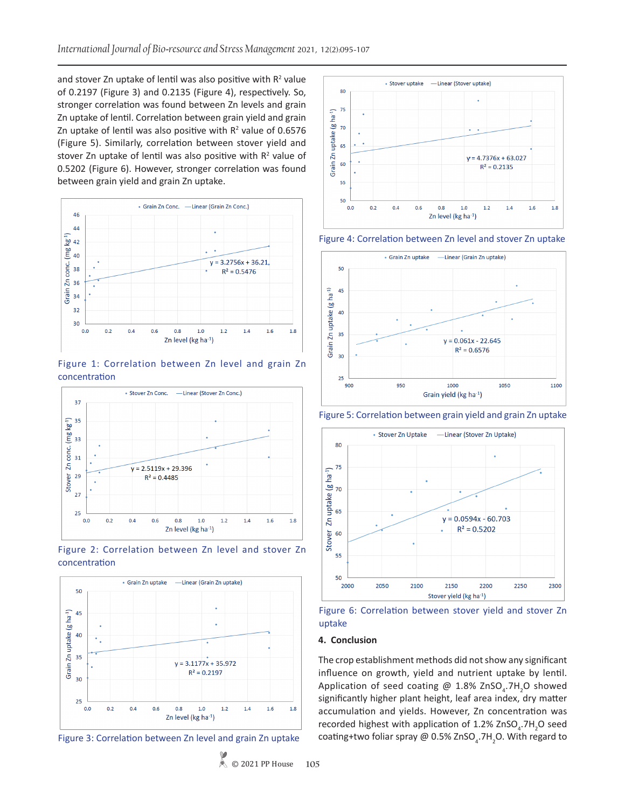and stover Zn uptake of lentil was also positive with  $R<sup>2</sup>$  value of 0.2197 (Figure 3) and 0.2135 (Figure 4), respectively. So, stronger correlation was found between Zn levels and grain Zn uptake of lentil. Correlation between grain yield and grain Zn uptake of lentil was also positive with  $R^2$  value of 0.6576 (Figure 5). Similarly, correlation between stover yield and stover Zn uptake of lentil was also positive with  $R<sup>2</sup>$  value of 0.5202 (Figure 6). However, stronger correlation was found between grain yield and grain Zn uptake.











Figure 3: Correlation between Zn level and grain Zn uptake



Figure 4: Correlation between Zn level and stover Zn uptake



Figure 5: Correlation between grain yield and grain Zn uptake



Figure 6: Correlation between stover yield and stover Zn uptake

#### **4. Conclusion**

The crop establishment methods did not show any significant influence on growth, yield and nutrient uptake by lentil. Application of seed coating @ 1.8% ZnSO<sub>4</sub>.7H<sub>2</sub>O showed significantly higher plant height, leaf area index, dry matter accumulation and yields. However, Zn concentration was recorded highest with application of 1.2%  $ZnSO_4$ .7H<sub>2</sub>O seed coating+two foliar spray @ 0.5% ZnSO<sub>4</sub>.7H<sub>2</sub>O. With regard to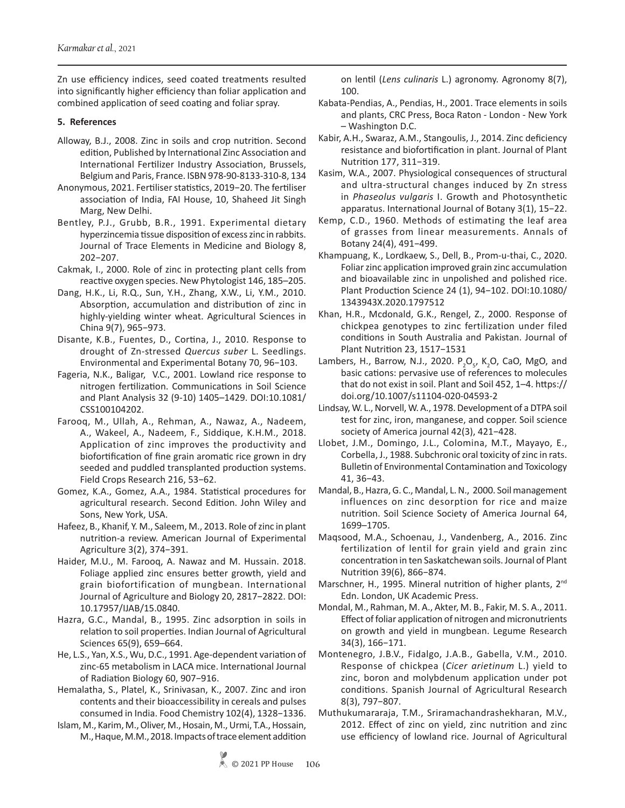Zn use efficiency indices, seed coated treatments resulted into significantly higher efficiency than foliar application and combined application of seed coating and foliar spray.

# **5. References**

- Alloway, B.J., 2008. Zinc in soils and crop nutrition. Second edition, Published by International Zinc Association and International Fertilizer Industry Association, Brussels, Belgium and Paris, France. ISBN 978-90-8133-310-8, 134
- Anonymous, 2021. Fertiliser statistics, 2019−20. The fertiliser association of India, FAI House, 10, Shaheed Jit Singh Marg, New Delhi.
- Bentley, P.J., Grubb, B.R., 1991. Experimental dietary hyperzincemia tissue disposition of excess zinc in rabbits. Journal of Trace Elements in Medicine and Biology 8, 202−207.
- Cakmak, I., 2000. Role of zinc in protecting plant cells from reactive oxygen species. New Phytologist 146, 185–205.
- Dang, H.K., Li, R.Q., Sun, Y.H., Zhang, X.W., Li, Y.M., 2010. Absorption, accumulation and distribution of zinc in highly-yielding winter wheat. Agricultural Sciences in China 9(7), 965−973.
- Disante, K.B., Fuentes, D., Cortina, J., 2010. Response to drought of Zn-stressed *Quercus suber* L. Seedlings. Environmental and Experimental Botany 70, 96−103.
- Fageria, N.K., Baligar, V.C., 2001. Lowland rice response to nitrogen fertilization. Communications in Soil Science and Plant Analysis 32 (9-10) 1405–1429. DOI:10.1081/ CSS100104202.
- Farooq, M., Ullah, A., Rehman, A., Nawaz, A., Nadeem, A., Wakeel, A., Nadeem, F., Siddique, K.H.M., 2018. Application of zinc improves the productivity and biofortification of fine grain aromatic rice grown in dry seeded and puddled transplanted production systems. Field Crops Research 216, 53−62.
- Gomez, K.A., Gomez, A.A., 1984. Statistical procedures for agricultural research. Second Edition. John Wiley and Sons, New York, USA.
- Hafeez, B., Khanif, Y. M., Saleem, M., 2013. Role of zinc in plant nutrition-a review. American Journal of Experimental Agriculture 3(2), 374−391.
- Haider, M.U., M. Farooq, A. Nawaz and M. Hussain. 2018. Foliage applied zinc ensures better growth, yield and grain biofortification of mungbean. International Journal of Agriculture and Biology 20, 2817−2822. DOI: 10.17957/IJAB/15.0840.
- Hazra, G.C., Mandal, B., 1995. Zinc adsorption in soils in relation to soil properties. Indian Journal of Agricultural Sciences 65(9), 659–664.
- He, L.S., Yan, X.S., Wu, D.C., 1991. Age-dependent variation of zinc-65 metabolism in LACA mice. International Journal of Radiation Biology 60, 907−916.
- Hemalatha, S., Platel, K., Srinivasan, K., 2007. Zinc and iron contents and their bioaccessibility in cereals and pulses consumed in India. Food Chemistry 102(4), 1328−1336.
- Islam, M., Karim, M., Oliver, M., Hosain, M., Urmi, T.A., Hossain, M., Haque, M.M., 2018. Impacts of trace element addition

on lentil (*Lens culinaris* L.) agronomy. Agronomy 8(7), 100.

- Kabata-Pendias, A., Pendias, H., 2001. Trace elements in soils and plants, CRC Press, Boca Raton - London - New York – Washington D.C.
- Kabir, A.H., Swaraz, A.M., Stangoulis, J., 2014. Zinc deficiency resistance and biofortification in plant. Journal of Plant Nutrition 177, 311−319.
- Kasim, W.A., 2007. Physiological consequences of structural and ultra-structural changes induced by Zn stress in *Phaseolus vulgaris* I. Growth and Photosynthetic apparatus. International Journal of Botany 3(1), 15−22.
- Kemp, C.D., 1960. Methods of estimating the leaf area of grasses from linear measurements. Annals of Botany 24(4), 491−499.
- Khampuang, K., Lordkaew, S., Dell, B., Prom-u-thai, C., 2020. Foliar zinc application improved grain zinc accumulation and bioavailable zinc in unpolished and polished rice. Plant Production Science 24 (1), 94−102. DOI:10.1080/ 1343943X.2020.1797512
- Khan, H.R., Mcdonald, G.K., Rengel, Z., 2000. Response of chickpea genotypes to zinc fertilization under filed conditions in South Australia and Pakistan. Journal of Plant Nutrition 23, 1517−1531
- Lambers, H., Barrow, N.J., 2020.  $P_2O_{5}$ , K<sub>2</sub>O, CaO, MgO, and basic cations: pervasive use of references to molecules that do not exist in soil. Plant and Soil 452, 1–4. https:// doi.org/10.1007/s11104-020-04593-2
- Lindsay, W. L., Norvell, W. A., 1978. Development of a DTPA soil test for zinc, iron, manganese, and copper. Soil science society of America journal 42(3), 421−428.
- Llobet, J.M., Domingo, J.L., Colomina, M.T., Mayayo, E., Corbella, J., 1988. Subchronic oral toxicity of zinc in rats. Bulletin of Environmental Contamination and Toxicology 41, 36−43.
- Mandal, B., Hazra, G. C., Mandal, L. N., 2000. Soil management influences on zinc desorption for rice and maize nutrition. Soil Science Society of America Journal 64, 1699–1705.
- Maqsood, M.A., Schoenau, J., Vandenberg, A., 2016. Zinc fertilization of lentil for grain yield and grain zinc concentration in ten Saskatchewan soils. Journal of Plant Nutrition 39(6), 866−874.
- Marschner, H., 1995. Mineral nutrition of higher plants, 2<sup>nd</sup> Edn. London, UK Academic Press.
- Mondal, M., Rahman, M. A., Akter, M. B., Fakir, M. S. A., 2011. Effect of foliar application of nitrogen and micronutrients on growth and yield in mungbean. Legume Research 34(3), 166−171.
- Montenegro, J.B.V., Fidalgo, J.A.B., Gabella, V.M., 2010. Response of chickpea (*Cicer arietinum* L.) yield to zinc, boron and molybdenum application under pot conditions. Spanish Journal of Agricultural Research 8(3), 797−807.
- Muthukumararaja, T.M., Sriramachandrashekharan, M.V., 2012. Effect of zinc on yield, zinc nutrition and zinc use efficiency of lowland rice. Journal of Agricultural